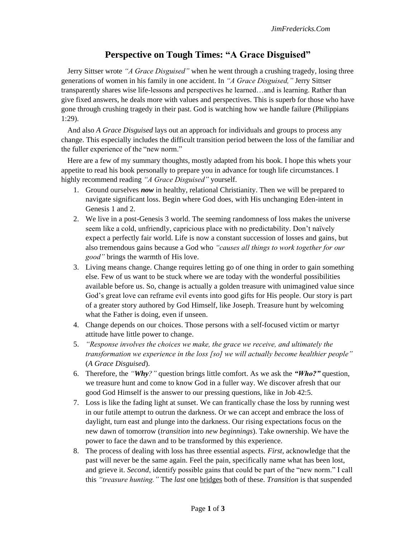## **Perspective on Tough Times: "A Grace Disguised"**

Jerry Sittser wrote *"A Grace Disguised"* when he went through a crushing tragedy, losing three generations of women in his family in one accident. In *"A Grace Disguised,"* Jerry Sittser transparently shares wise life-lessons and perspectives he learned…and is learning. Rather than give fixed answers, he deals more with values and perspectives. This is superb for those who have gone through crushing tragedy in their past. God is watching how we handle failure (Philippians 1:29).

And also *A Grace Disguised* lays out an approach for individuals and groups to process any change. This especially includes the difficult transition period between the loss of the familiar and the fuller experience of the "new norm."

Here are a few of my summary thoughts, mostly adapted from his book. I hope this whets your appetite to read his book personally to prepare you in advance for tough life circumstances. I highly recommend reading *"A Grace Disguised"* yourself.

- 1. Ground ourselves *now* in healthy, relational Christianity. Then we will be prepared to navigate significant loss. Begin where God does, with His unchanging Eden-intent in Genesis 1 and 2.
- 2. We live in a post-Genesis 3 world. The seeming randomness of loss makes the universe seem like a cold, unfriendly, capricious place with no predictability. Don't naïvely expect a perfectly fair world. Life is now a constant succession of losses and gains, but also tremendous gains because a God who *"causes all things to work together for our good"* brings the warmth of His love.
- 3. Living means change. Change requires letting go of one thing in order to gain something else. Few of us want to be stuck where we are today with the wonderful possibilities available before us. So, change is actually a golden treasure with unimagined value since God's great love can reframe evil events into good gifts for His people. Our story is part of a greater story authored by God Himself, like Joseph. Treasure hunt by welcoming what the Father is doing, even if unseen.
- 4. Change depends on our choices. Those persons with a self-focused victim or martyr attitude have little power to change.
- 5. *"Response involves the choices we make, the grace we receive, and ultimately the transformation we experience in the loss [so] we will actually become healthier people"* (*A Grace Disguised*).
- 6. Therefore, the *"Why?"* question brings little comfort. As we ask the *"Who?"* question, we treasure hunt and come to know God in a fuller way. We discover afresh that our good God Himself is the answer to our pressing questions, like in Job 42:5.
- 7. Loss is like the fading light at sunset. We can frantically chase the loss by running west in our futile attempt to outrun the darkness. Or we can accept and embrace the loss of daylight, turn east and plunge into the darkness. Our rising expectations focus on the new dawn of tomorrow (*transition* into *new beginnings*). Take ownership. We have the power to face the dawn and to be transformed by this experience.
- 8. The process of dealing with loss has three essential aspects. *First*, acknowledge that the past will never be the same again. Feel the pain, specifically name what has been lost, and grieve it. *Second*, identify possible gains that could be part of the "new norm." I call this *"treasure hunting."* The *last* one bridges both of these. *Transition* is that suspended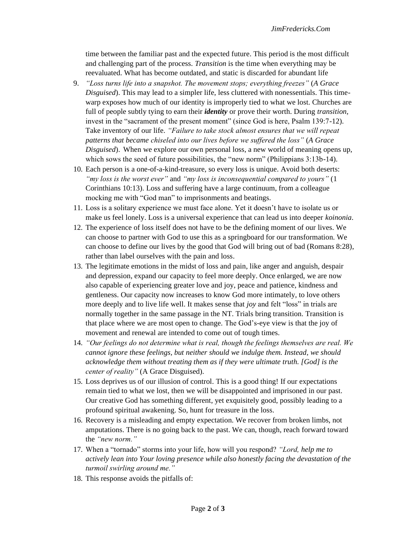time between the familiar past and the expected future. This period is the most difficult and challenging part of the process. *Transition* is the time when everything may be reevaluated. What has become outdated, and static is discarded for abundant life

- 9. *"Loss turns life into a snapshot. The movement stops; everything freezes"* (*A Grace Disguised*). This may lead to a simpler life, less cluttered with nonessentials. This timewarp exposes how much of our identity is improperly tied to what we lost. Churches are full of people subtly tying to earn their *identity* or prove their worth. During *transition,*  invest in the "sacrament of the present moment" (since God is here, Psalm 139:7-12). Take inventory of our life. *"Failure to take stock almost ensures that we will repeat patterns that became chiseled into our lives before we suffered the loss"* (*A Grace Disguised*). When we explore our own personal loss, a new world of meaning opens up, which sows the seed of future possibilities, the "new norm" (Philippians 3:13b-14).
- 10. Each person is a one-of-a-kind-treasure, so every loss is unique. Avoid both deserts: *"my loss is the worst ever"* and *"my loss is inconsequential compared to yours"* (1 Corinthians 10:13). Loss and suffering have a large continuum, from a colleague mocking me with "God man" to imprisonments and beatings.
- 11. Loss is a solitary experience we must face alone. Yet it doesn't have to isolate us or make us feel lonely. Loss is a universal experience that can lead us into deeper *koinonia*.
- 12. The experience of loss itself does not have to be the defining moment of our lives. We can choose to partner with God to use this as a springboard for our transformation. We can choose to define our lives by the good that God will bring out of bad (Romans 8:28), rather than label ourselves with the pain and loss.
- 13. The legitimate emotions in the midst of loss and pain, like anger and anguish, despair and depression, expand our capacity to feel more deeply. Once enlarged, we are now also capable of experiencing greater love and joy, peace and patience, kindness and gentleness. Our capacity now increases to know God more intimately, to love others more deeply and to live life well. It makes sense that *joy* and felt "loss" in trials are normally together in the same passage in the NT. Trials bring transition. Transition is that place where we are most open to change. The God's-eye view is that the joy of movement and renewal are intended to come out of tough times.
- 14. *"Our feelings do not determine what is real, though the feelings themselves are real. We cannot ignore these feelings, but neither should we indulge them. Instead, we should acknowledge them without treating them as if they were ultimate truth. [God] is the center of reality"* (A Grace Disguised).
- 15. Loss deprives us of our illusion of control. This is a good thing! If our expectations remain tied to what we lost, then we will be disappointed and imprisoned in our past. Our creative God has something different, yet exquisitely good, possibly leading to a profound spiritual awakening. So, hunt for treasure in the loss.
- 16. Recovery is a misleading and empty expectation. We recover from broken limbs, not amputations. There is no going back to the past. We can, though, reach forward toward the *"new norm."*
- 17. When a "tornado" storms into your life, how will you respond? *"Lord, help me to actively lean into Your loving presence while also honestly facing the devastation of the turmoil swirling around me."*
- 18. This response avoids the pitfalls of: